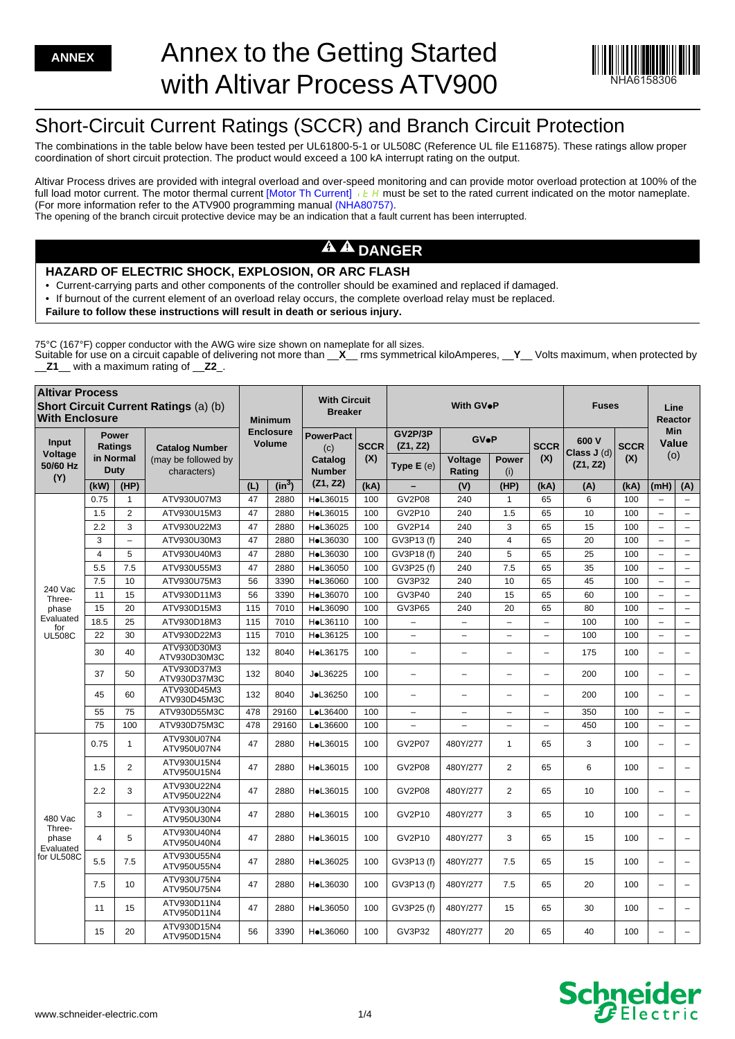

# Short-Circuit Current Ratings (SCCR) and Branch Circuit Protection

The combinations in the table below have been tested per UL61800-5-1 or UL508C (Reference UL file E116875). These ratings allow proper coordination of short circuit protection. The product would exceed a 100 kA interrupt rating on the output.

Altivar Process drives are provided with integral overload and over-speed monitoring and can provide motor overload protection at 100% of the full load motor current. The motor thermal current [Motor Th Current]  $\iota$  E H must be set to the rated current indicated on the motor nameplate. (For more information refer to the ATV900 programming manua[l \(NHA80757\).](https://www.schneider-electric.com/en/download/document/NHA80757/) The opening of the branch circuit protective device may be an indication that a fault current has been interrupted.

## **A A DANGER**

## **HAZARD OF ELECTRIC SHOCK, EXPLOSION, OR ARC FLASH**

• Current-carrying parts and other components of the controller should be examined and replaced if damaged.

- If burnout of the current element of an overload relay occurs, the complete overload relay must be replaced.
- **Failure to follow these instructions will result in death or serious injury.**

75°C (167°F) copper conductor with the AWG wire size shown on nameplate for all sizes.

Suitable for use on a circuit capable of delivering not more than \_\_**X**\_\_ rms symmetrical kiloAmperes, \_\_**Y**\_\_ Volts maximum, when protected by \_\_**Z1**\_\_ with a maximum rating of \_\_**Z2**\_.

| <b>Altivar Process</b><br>Short Circuit Current Ratings (a) (b)<br><b>With Enclosure</b> |                          |                                |                                    |                            | <b>Minimum</b> | <b>With Circuit</b><br><b>Breaker</b> |             | With GV.P                |                          |                          |                          | <b>Fuses</b>                     |                    | Line<br>Reactor            |                          |
|------------------------------------------------------------------------------------------|--------------------------|--------------------------------|------------------------------------|----------------------------|----------------|---------------------------------------|-------------|--------------------------|--------------------------|--------------------------|--------------------------|----------------------------------|--------------------|----------------------------|--------------------------|
| Input<br>Voltage                                                                         |                          | <b>Power</b><br><b>Ratings</b> | <b>Catalog Number</b>              | <b>Enclosure</b><br>Volume |                | <b>PowerPact</b><br>(c)               | <b>SCCR</b> | GV2P/3P<br>(Z1, Z2)      | <b>GV</b> eP             | <b>SCCR</b>              |                          | 600 V<br>Class J (d)<br>(Z1, Z2) | <b>SCCR</b><br>(X) | <b>Min</b><br>Value<br>(o) |                          |
| 50/60 Hz<br>(Y)                                                                          | in Normal<br><b>Duty</b> |                                | (may be followed by<br>characters) |                            |                | Catalog<br><b>Number</b>              | (X)         | Type E (e)               | Voltage<br>Rating        | <b>Power</b><br>(i)      | (X)                      |                                  |                    |                            |                          |
|                                                                                          | (kW)                     | (HP)                           |                                    | (L)                        | $(in^3)$       | (Z1, Z2)                              | (kA)        |                          | (V)                      | (HP)                     | (kA)                     | (A)                              | (kA)               | (mH)                       | (A)                      |
|                                                                                          | 0.75                     | $\mathbf{1}$                   | ATV930U07M3                        | 47                         | 2880           | HoL36015                              | 100         | <b>GV2P08</b>            | 240                      | $\mathbf{1}$             | 65                       | 6                                | 100                | $\overline{\phantom{a}}$   | $\overline{\phantom{m}}$ |
|                                                                                          | 1.5                      | $\overline{2}$                 | ATV930U15M3                        | 47                         | 2880           | HoL36015                              | 100         | GV2P10                   | 240                      | 1.5                      | 65                       | 10                               | 100                | $\overline{\phantom{0}}$   | $\overline{\phantom{a}}$ |
|                                                                                          | 2.2                      | 3                              | ATV930U22M3                        | 47                         | 2880           | HoL36025                              | 100         | GV2P14                   | 240                      | 3                        | 65                       | 15                               | 100                | $\overline{\phantom{0}}$   | $\overline{\phantom{a}}$ |
|                                                                                          | 3                        | $\equiv$                       | ATV930U30M3                        | 47                         | 2880           | HoL36030                              | 100         | GV3P13 (f)               | 240                      | $\overline{4}$           | 65                       | 20                               | 100                | $\overline{a}$             | $\overline{\phantom{0}}$ |
|                                                                                          | 4                        | 5                              | ATV930U40M3                        | 47                         | 2880           | HoL36030                              | 100         | GV3P18 (f)               | 240                      | 5                        | 65                       | 25                               | 100                | $\overline{\phantom{0}}$   | $\overline{\phantom{a}}$ |
|                                                                                          | 5.5                      | 7.5                            | ATV930U55M3                        | 47                         | 2880           | HoL36050                              | 100         | GV3P25 (f)               | 240                      | 7.5                      | 65                       | 35                               | 100                |                            | $\overline{\phantom{m}}$ |
| 240 Vac<br>Three-<br>phase<br>Evaluated<br>for<br><b>UL508C</b>                          | 7.5                      | 10                             | ATV930U75M3                        | 56                         | 3390           | HoL36060                              | 100         | GV3P32                   | 240                      | 10                       | 65                       | 45                               | 100                | $\overline{\phantom{0}}$   | $\overline{\phantom{a}}$ |
|                                                                                          | 11                       | 15                             | ATV930D11M3                        | 56                         | 3390           | HoL36070                              | 100         | GV3P40                   | 240                      | 15                       | 65                       | 60                               | 100                | $\overline{\phantom{0}}$   | $\overline{\phantom{a}}$ |
|                                                                                          | 15                       | 20                             | ATV930D15M3                        | 115                        | 7010           | HoL36090                              | 100         | GV3P65                   | 240                      | 20                       | 65                       | 80                               | 100                | $\overline{\phantom{0}}$   | $\overline{\phantom{a}}$ |
|                                                                                          | 18.5                     | 25                             | ATV930D18M3                        | 115                        | 7010           | HoL36110                              | 100         | $\qquad \qquad -$        | $\overline{\phantom{0}}$ | $\overline{\phantom{a}}$ | $\overline{\phantom{0}}$ | 100                              | 100                | $\qquad \qquad -$          | $\overline{\phantom{m}}$ |
|                                                                                          | 22                       | 30                             | ATV930D22M3                        | 115                        | 7010           | HoL36125                              | 100         | $\qquad \qquad -$        | $\overline{\phantom{0}}$ | $\qquad \qquad -$        | $\qquad \qquad -$        | 100                              | 100                | $\overline{\phantom{0}}$   | $\overline{\phantom{a}}$ |
|                                                                                          | 30                       | 40                             | ATV930D30M3<br>ATV930D30M3C        | 132                        | 8040           | HoL36175                              | 100         | $\overline{\phantom{0}}$ | $\overline{\phantom{0}}$ | L.                       | ÷,                       | 175                              | 100                | $\overline{\phantom{0}}$   | $\overline{\phantom{0}}$ |
|                                                                                          | 37                       | 50                             | ATV930D37M3<br>ATV930D37M3C        | 132                        | 8040           | JoL36225                              | 100         | $\qquad \qquad -$        | $\overline{\phantom{0}}$ | $\overline{\phantom{0}}$ | $\overline{\phantom{0}}$ | 200                              | 100                | $\qquad \qquad -$          | $\overline{\phantom{a}}$ |
|                                                                                          | 45                       | 60                             | ATV930D45M3<br>ATV930D45M3C        | 132                        | 8040           | JoL36250                              | 100         | $\overline{\phantom{0}}$ | ÷                        | $\overline{\phantom{0}}$ | L.                       | 200                              | 100                | $\overline{\phantom{0}}$   | $\overline{\phantom{0}}$ |
|                                                                                          | 55                       | 75                             | ATV930D55M3C                       | 478                        | 29160          | LoL36400                              | 100         | $\overline{\phantom{0}}$ | $\overline{\phantom{0}}$ | $\overline{\phantom{0}}$ | $\overline{\phantom{0}}$ | 350                              | 100                | $\overline{\phantom{0}}$   | $\overline{\phantom{0}}$ |
|                                                                                          | 75                       | 100                            | ATV930D75M3C                       | 478                        | 29160          | LoL36600                              | 100         | $\overline{\phantom{0}}$ | $\overline{\phantom{0}}$ | $\overline{\phantom{0}}$ | ÷,                       | 450                              | 100                | $\qquad \qquad -$          | $\overline{\phantom{m}}$ |
|                                                                                          | 0.75                     | $\mathbf{1}$                   | ATV930U07N4<br>ATV950U07N4         | 47                         | 2880           | HoL36015                              | 100         | <b>GV2P07</b>            | 480Y/277                 | $\mathbf{1}$             | 65                       | 3                                | 100                | $\overline{\phantom{0}}$   | $\overline{\phantom{0}}$ |
|                                                                                          | 1.5                      | 2                              | ATV930U15N4<br>ATV950U15N4         | 47                         | 2880           | HoL36015                              | 100         | <b>GV2P08</b>            | 480Y/277                 | $\overline{2}$           | 65                       | 6                                | 100                | $\overline{\phantom{0}}$   | $\overline{\phantom{0}}$ |
| 480 Vac<br>Three-<br>phase<br>Evaluated<br>for UL508C                                    | 2.2                      | 3                              | ATV930U22N4<br>ATV950U22N4         | 47                         | 2880           | HoL36015                              | 100         | <b>GV2P08</b>            | 480Y/277                 | 2                        | 65                       | 10                               | 100                | $\overline{\phantom{0}}$   | $\qquad \qquad -$        |
|                                                                                          | 3                        | $\equiv$                       | ATV930U30N4<br>ATV950U30N4         | 47                         | 2880           | HoL36015                              | 100         | GV2P10                   | 480Y/277                 | 3                        | 65                       | 10                               | 100                | $\overline{\phantom{0}}$   | $\qquad \qquad -$        |
|                                                                                          | 4                        | 5                              | ATV930U40N4<br>ATV950U40N4         | 47                         | 2880           | HoL36015                              | 100         | GV2P10                   | 480Y/277                 | 3                        | 65                       | 15                               | 100                | $\overline{\phantom{0}}$   | $\qquad \qquad -$        |
|                                                                                          | 5.5                      | 7.5                            | ATV930U55N4<br>ATV950U55N4         | 47                         | 2880           | HoL36025                              | 100         | GV3P13 (f)               | 480Y/277                 | 7.5                      | 65                       | 15                               | 100                | L.                         | $\equiv$                 |
|                                                                                          | 7.5                      | 10                             | ATV930U75N4<br>ATV950U75N4         | 47                         | 2880           | HoL36030                              | 100         | GV3P13 (f)               | 480Y/277                 | 7.5                      | 65                       | 20                               | 100                | $\overline{\phantom{0}}$   | ÷                        |
|                                                                                          | 11                       | 15                             | ATV930D11N4<br>ATV950D11N4         | 47                         | 2880           | HoL36050                              | 100         | GV3P25 (f)               | 480Y/277                 | 15                       | 65                       | 30                               | 100                | $\overline{\phantom{0}}$   | $\overline{\phantom{0}}$ |
|                                                                                          | 15                       | 20                             | ATV930D15N4<br>ATV950D15N4         | 56                         | 3390           | HoL36060                              | 100         | GV3P32                   | 480Y/277                 | 20                       | 65                       | 40                               | 100                | L.                         |                          |

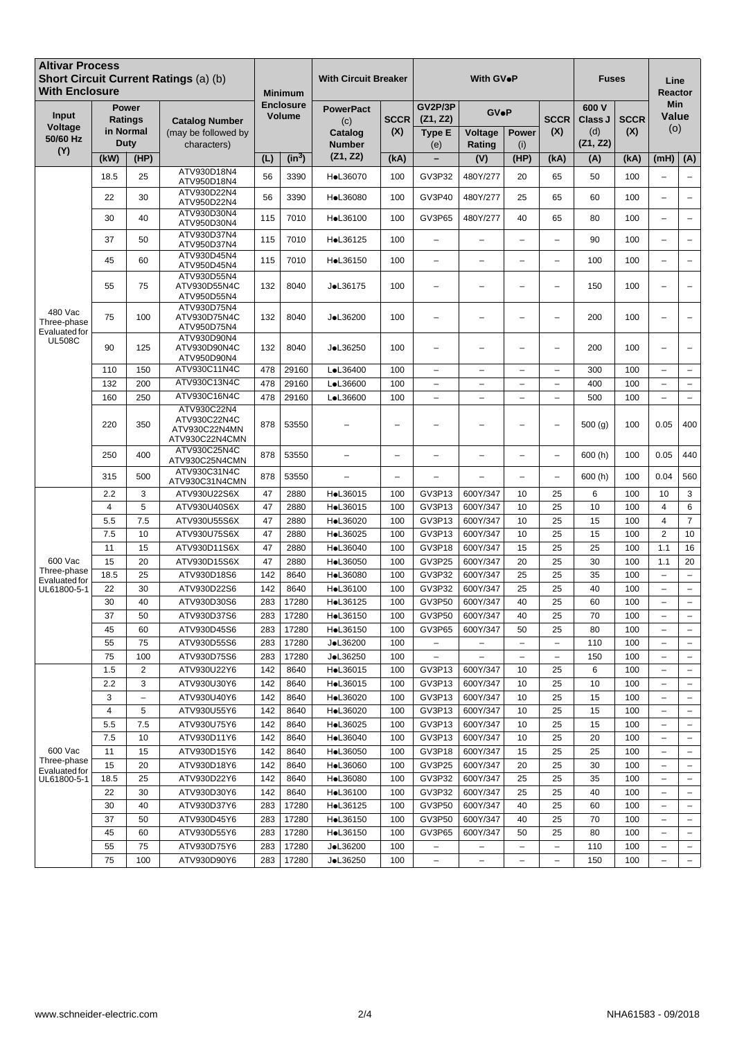| <b>Altivar Process</b><br>With Enclosure       |                |                                             | Short Circuit Current Ratings (a) (b)                          | <b>Minimum</b><br><b>Enclosure</b><br><b>Volume</b> |          | <b>With Circuit Breaker</b>        |                          | With GV●P                     |                          |                          |                          | Fuses                   |                    | Line<br>Reactor            |                          |
|------------------------------------------------|----------------|---------------------------------------------|----------------------------------------------------------------|-----------------------------------------------------|----------|------------------------------------|--------------------------|-------------------------------|--------------------------|--------------------------|--------------------------|-------------------------|--------------------|----------------------------|--------------------------|
| Input<br>Voltage<br>50/60 Hz                   |                | <b>Power</b><br><b>Ratings</b><br>in Normal | <b>Catalog Number</b><br>(may be followed by                   |                                                     |          | <b>PowerPact</b><br>(c)<br>Catalog | <b>SCCR</b><br>(X)       | GV2P/3P<br>(Z1, Z2)<br>Type E | <b>GV</b> ·P<br>Voltage  | <b>Power</b>             | <b>SCCR</b><br>(X)       | 600 V<br>Class J<br>(d) | <b>SCCR</b><br>(X) | <b>Min</b><br>Value<br>(0) |                          |
| (Y)                                            | Duty           |                                             | characters)                                                    |                                                     |          | <b>Number</b>                      |                          | (e)                           | Rating                   | (i)                      |                          | (Z1, Z2)                |                    |                            |                          |
|                                                | (kW)           | (HP)                                        | ATV930D18N4                                                    | (L)                                                 | $(in^3)$ | (Z1, Z2)                           | (kA)                     |                               | (V)                      | (HP)                     | (kA)                     | (A)                     | (kA)               | (mH)                       | (A)                      |
|                                                | 18.5           | 25                                          | ATV950D18N4                                                    | 56                                                  | 3390     | HoL36070                           | 100                      | GV3P32                        | 480Y/277                 | 20                       | 65                       | 50                      | 100                | $\overline{\phantom{a}}$   | $\overline{\phantom{a}}$ |
|                                                | 22             | 30                                          | ATV930D22N4<br>ATV950D22N4                                     | 56                                                  | 3390     | HoL36080                           | 100                      | GV3P40                        | 480Y/277                 | 25                       | 65                       | 60                      | 100                | $\overline{\phantom{0}}$   |                          |
|                                                | 30             | 40                                          | ATV930D30N4<br>ATV950D30N4                                     | 115                                                 | 7010     | HoL36100                           | 100                      | GV3P65                        | 480Y/277                 | 40                       | 65                       | 80                      | 100                | $\overline{\phantom{0}}$   |                          |
|                                                | 37             | 50                                          | ATV930D37N4<br>ATV950D37N4                                     | 115                                                 | 7010     | HoL36125                           | 100                      | $\equiv$                      | L.                       | L.                       | $\equiv$                 | 90                      | 100                | $\overline{\phantom{0}}$   | $\overline{\phantom{0}}$ |
|                                                | 45             | 60                                          | ATV930D45N4                                                    | 115                                                 | 7010     | HoL36150                           | 100                      | $\overline{\phantom{0}}$      | $\overline{\phantom{0}}$ | $\overline{\phantom{0}}$ | L,                       | 100                     | 100                | L,                         |                          |
|                                                |                |                                             | ATV950D45N4<br>ATV930D55N4                                     |                                                     |          |                                    |                          |                               |                          |                          |                          |                         |                    |                            |                          |
|                                                | 55             | 75                                          | ATV930D55N4C<br>ATV950D55N4                                    | 132                                                 | 8040     | JoL36175                           | 100                      | L.                            | L,                       | $\overline{\phantom{0}}$ |                          | 150                     | 100                |                            |                          |
| 480 Vac<br>Three-phase<br><b>Evaluated for</b> | 75             | 100                                         | ATV930D75N4<br>ATV930D75N4C<br>ATV950D75N4                     | 132                                                 | 8040     | JoL36200                           | 100                      | $\overline{\phantom{0}}$      |                          | $\overline{\phantom{0}}$ | $\overline{\phantom{0}}$ | 200                     | 100                | $\overline{\phantom{0}}$   |                          |
| <b>UL508C</b>                                  | 90             | 125                                         | ATV930D90N4<br>ATV930D90N4C<br>ATV950D90N4                     | 132                                                 | 8040     | JoL36250                           | 100                      | $\overline{\phantom{0}}$      | -                        | $\overline{\phantom{0}}$ | Ē,                       | 200                     | 100                | ÷                          |                          |
|                                                | 110            | 150                                         | ATV930C11N4C                                                   | 478                                                 | 29160    | LoL36400                           | 100                      | $\overline{\phantom{a}}$      | $\overline{\phantom{0}}$ | $\overline{\phantom{0}}$ | $\overline{\phantom{0}}$ | 300                     | 100                | $\overline{\phantom{a}}$   | $\overline{\phantom{a}}$ |
|                                                | 132            | 200                                         | ATV930C13N4C                                                   | 478                                                 | 29160    | LoL36600                           | 100                      | $\overline{\phantom{m}}$      | -                        | $\overline{\phantom{0}}$ | $\overline{\phantom{0}}$ | 400                     | 100                | $\overline{\phantom{m}}$   | $\qquad \qquad -$        |
|                                                | 160            | 250                                         | ATV930C16N4C                                                   | 478                                                 | 29160    | LoL36600                           | 100                      | $\overline{\phantom{0}}$      | $\overline{\phantom{0}}$ | $\overline{\phantom{0}}$ | L.                       | 500                     | 100                | $\overline{\phantom{a}}$   | $\equiv$                 |
|                                                | 220            | 350                                         | ATV930C22N4<br>ATV930C22N4C<br>ATV930C22N4MN<br>ATV930C22N4CMN | 878                                                 | 53550    |                                    |                          |                               |                          | ÷                        | $\overline{\phantom{0}}$ | 500(g)                  | 100                | 0.05                       | 400                      |
|                                                | 250            | 400                                         | ATV930C25N4C<br>ATV930C25N4CMN                                 | 878                                                 | 53550    | $\overline{\phantom{0}}$           | L,                       | $\equiv$                      | L,                       | ÷                        | $\overline{\phantom{0}}$ | 600(h)                  | 100                | 0.05                       | 440                      |
|                                                | 315            | 500                                         | ATV930C31N4C<br>ATV930C31N4CMN                                 | 878                                                 | 53550    | L.                                 | $\overline{\phantom{0}}$ |                               |                          | $\equiv$                 | $\equiv$                 | 600(h)                  | 100                | 0.04                       | 560                      |
|                                                | 2.2            | 3                                           | ATV930U22S6X                                                   | 47                                                  | 2880     | HoL36015                           | 100                      | GV3P13                        | 600Y/347                 | 10                       | 25                       | 6                       | 100                | 10                         | $\sqrt{3}$               |
|                                                | $\overline{4}$ | 5                                           | ATV930U40S6X                                                   | 47                                                  | 2880     | HoL36015                           | 100                      | GV3P13                        | 600Y/347                 | 10                       | 25                       | 10                      | 100                | $\overline{4}$             | 6                        |
|                                                | 5.5            | 7.5                                         | ATV930U55S6X                                                   | 47                                                  | 2880     | HoL36020                           | 100                      | GV3P13                        | 600Y/347                 | 10                       | 25                       | 15                      | 100                | $\overline{4}$             | $\overline{7}$           |
|                                                | 7.5            | 10                                          | ATV930U75S6X                                                   | 47                                                  | 2880     | HoL36025                           | 100                      | GV3P13                        | 600Y/347                 | 10                       | 25                       | 15                      | 100                | $\overline{2}$             | 10                       |
|                                                | 11             | 15                                          | ATV930D11S6X                                                   | 47                                                  | 2880     | HoL36040                           | 100                      | GV3P18                        | 600Y/347                 | 15                       | 25                       | 25                      | 100                | 1.1                        | 16                       |
| 600 Vac                                        | 15             | 20                                          | ATV930D15S6X                                                   | 47                                                  | 2880     | HoL36050                           | 100                      | <b>GV3P25</b>                 | 600Y/347                 | 20                       | 25                       | 30                      | 100                | 1.1                        | 20                       |
| Three-phase<br><b>Evaluated for</b>            | 18.5           | 25                                          | ATV930D18S6                                                    | 142                                                 | 8640     | HoL36080                           | 100                      | GV3P32                        | 600Y/347                 | 25                       | 25                       | 35                      | 100                | $\sim$                     | $\equiv$                 |
| UL61800-5-1                                    | 22             | 30                                          | ATV930D22S6                                                    | 142                                                 | 8640     | HoL36100                           | 100                      | GV3P32                        | 600Y/347                 | 25                       | 25                       | 40                      | 100                | $\sim$                     | $\overline{\phantom{a}}$ |
|                                                | 30             | 40                                          | ATV930D30S6                                                    | 283                                                 | 17280    | HoL36125                           | 100                      | GV3P50                        | 600Y/347                 | 40                       | 25                       | 60                      | 100                | $\qquad \qquad -$          | $\overline{\phantom{m}}$ |
|                                                | 37             | 50                                          | ATV930D37S6                                                    | 283                                                 | 17280    | HoL36150                           | 100                      | GV3P50                        | 600Y/347                 | 40                       | 25                       | 70                      | 100                | $\overline{\phantom{0}}$   |                          |
|                                                | 45             | 60                                          | ATV930D45S6                                                    | 283                                                 | 17280    | HoL36150                           | 100                      | GV3P65                        | 600Y/347                 | 50                       | 25                       | 80                      | 100                | $\overline{\phantom{m}}$   | $-$                      |
|                                                | 55             | 75                                          | ATV930D55S6                                                    | 283                                                 | 17280    | JoL36200                           | 100                      | -                             | -                        | -                        | $\overline{\phantom{a}}$ | 110                     | 100                | $\overline{\phantom{a}}$   | $\overline{\phantom{m}}$ |
|                                                | 75             | 100                                         | ATV930D75S6                                                    | 283                                                 | 17280    | JoL36250                           | 100                      | $\overline{\phantom{0}}$      |                          | $\overline{\phantom{0}}$ | $\overline{\phantom{0}}$ | 150                     | 100                | ÷,                         | $\overline{\phantom{m}}$ |
|                                                | 1.5            | $\overline{2}$                              | ATV930U22Y6                                                    | 142                                                 | 8640     | HoL36015                           | 100                      | GV3P13                        | 600Y/347                 | 10                       | 25                       | 6                       | 100                | $\overline{\phantom{a}}$   | $\overline{\phantom{m}}$ |
|                                                | 2.2            | 3                                           | ATV930U30Y6                                                    | 142                                                 | 8640     | HoL36015                           | 100                      | GV3P13                        | 600Y/347                 | 10                       | 25                       | 10                      | 100                | $\overline{\phantom{m}}$   | $\overline{\phantom{a}}$ |
|                                                | 3              | $\qquad \qquad -$                           | ATV930U40Y6                                                    | 142                                                 | 8640     | HoL36020                           | 100                      | GV3P13                        | 600Y/347                 | 10                       | 25                       | 15                      | 100                | $\overline{\phantom{a}}$   | $\overline{\phantom{m}}$ |
|                                                | $\overline{4}$ | 5                                           | ATV930U55Y6                                                    | 142                                                 | 8640     | HoL36020                           | 100                      | GV3P13                        | 600Y/347                 | 10                       | 25                       | 15                      | 100                | $\overline{\phantom{m}}$   | $\overline{\phantom{m}}$ |
|                                                | 5.5            | 7.5                                         | ATV930U75Y6                                                    | 142                                                 | 8640     | HoL36025                           | 100                      | GV3P13                        | 600Y/347                 | 10                       | 25                       | 15                      | 100                | $\qquad \qquad -$          | $\overline{\phantom{m}}$ |
|                                                | 7.5            | 10                                          | ATV930D11Y6                                                    | 142                                                 | 8640     | HoL36040                           | 100                      | GV3P13                        | 600Y/347                 | 10                       | 25                       | 20                      | 100                | ÷,                         | $\overline{\phantom{m}}$ |
| 600 Vac                                        | 11             | 15                                          | ATV930D15Y6                                                    | 142                                                 | 8640     | HoL36050                           | 100                      | GV3P18                        | 600Y/347                 | 15                       | 25                       | 25                      | 100                | $\overline{\phantom{0}}$   | $\overline{\phantom{m}}$ |
| Three-phase<br>Evaluated for                   | 15             | 20                                          | ATV930D18Y6                                                    | 142                                                 | 8640     | HoL36060                           | 100                      | GV3P25                        | 600Y/347                 | 20                       | 25                       | 30                      | 100                | $\overline{\phantom{0}}$   | $\overline{\phantom{a}}$ |
| UL61800-5-1                                    | 18.5           | 25                                          | ATV930D22Y6                                                    | 142                                                 | 8640     | HoL36080                           | 100                      | GV3P32                        | 600Y/347                 | 25                       | 25                       | 35                      | 100                | $\overline{\phantom{a}}$   | $\overline{\phantom{a}}$ |
|                                                | 22             | 30                                          | ATV930D30Y6                                                    | 142                                                 | 8640     | HoL36100                           | 100                      | GV3P32                        | 600Y/347                 | 25                       | 25                       | 40                      | 100                | $\overline{\phantom{m}}$   | $\overline{\phantom{m}}$ |
|                                                | 30             | 40                                          | ATV930D37Y6                                                    | 283                                                 | 17280    | HoL36125                           | 100                      | GV3P50                        | 600Y/347                 | 40                       | 25                       | 60                      | 100                | $\overline{\phantom{0}}$   | $\overline{\phantom{m}}$ |
|                                                | 37             | 50                                          | ATV930D45Y6                                                    | 283                                                 | 17280    | HoL36150                           | 100                      | GV3P50                        | 600Y/347                 | 40                       | 25                       | 70                      | 100                | ÷,                         | $\overline{\phantom{a}}$ |
|                                                | 45             | 60                                          | ATV930D55Y6                                                    | 283                                                 | 17280    | HoL36150                           | 100                      | GV3P65                        | 600Y/347                 | 50                       | 25                       | 80                      | 100                | $\overline{\phantom{0}}$   | $\overline{\phantom{a}}$ |
|                                                | 55             | 75                                          | ATV930D75Y6                                                    | 283                                                 | 17280    | JoL36200                           | 100                      | $\qquad \qquad -$             |                          | $\overline{\phantom{0}}$ | $\overline{\phantom{0}}$ | 110                     | 100                | $\overline{\phantom{0}}$   |                          |
|                                                | 75             | 100                                         | ATV930D90Y6                                                    | 283                                                 | 17280    | JoL36250                           | 100                      | $\qquad \qquad -$             | $\overline{\phantom{0}}$ | $\overline{\phantom{0}}$ | $\overline{\phantom{0}}$ | 150                     | 100                | $\overline{\phantom{m}}$   | $\overline{\phantom{m}}$ |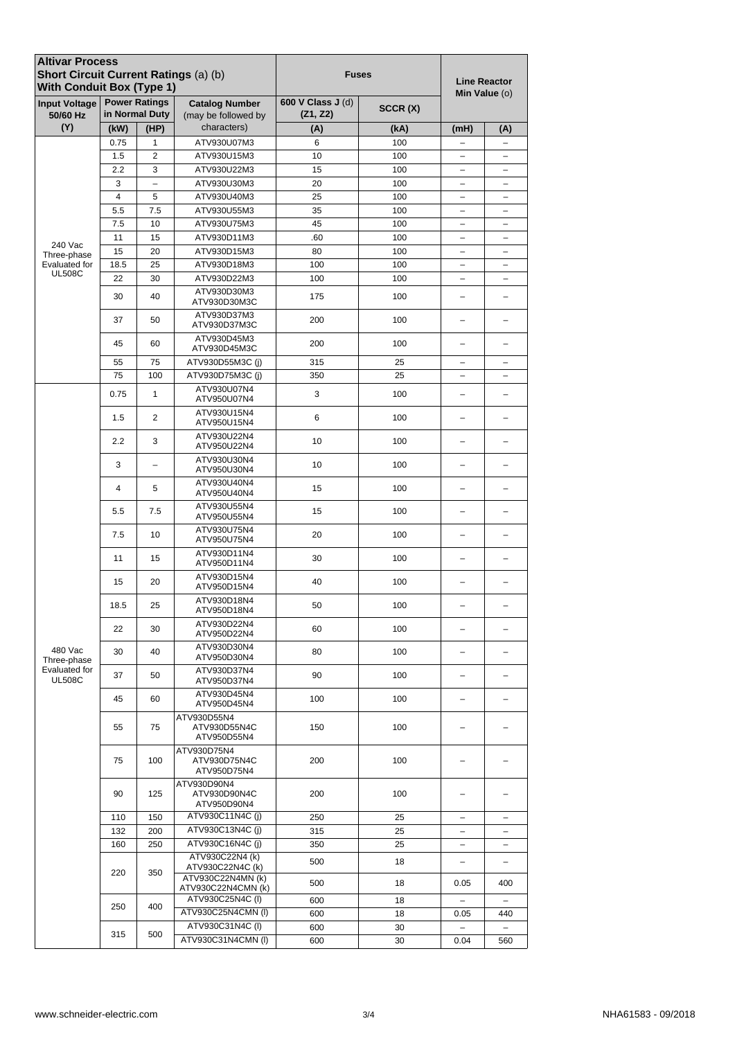| <b>Altivar Process</b><br>Short Circuit Current Ratings (a) (b)<br><b>With Conduit Box (Type 1)</b> |                     |                                        |                                              | <b>Fuses</b>                  | <b>Line Reactor</b><br>Min Value (o) |                                        |                               |  |
|-----------------------------------------------------------------------------------------------------|---------------------|----------------------------------------|----------------------------------------------|-------------------------------|--------------------------------------|----------------------------------------|-------------------------------|--|
| <b>Input Voltage</b><br>50/60 Hz                                                                    |                     | <b>Power Ratings</b><br>in Normal Duty | <b>Catalog Number</b><br>(may be followed by | 600 V Class J (d)<br>(Z1, Z2) | SCCR(X)                              |                                        |                               |  |
| (Y)                                                                                                 | (kW)                | (HP)                                   | characters)                                  | (A)                           | (kA)                                 | (mH)                                   | (A)                           |  |
|                                                                                                     | 0.75                | 1                                      | ATV930U07M3                                  | 6                             | 100                                  | $\qquad \qquad -$                      | $\qquad \qquad -$             |  |
|                                                                                                     | 1.5                 | 2                                      | ATV930U15M3                                  | 10                            | 100                                  | $\qquad \qquad -$                      | -                             |  |
|                                                                                                     | 2.2                 | 3                                      | ATV930U22M3                                  | 15                            | 100                                  | $\overline{\phantom{0}}$               | -                             |  |
|                                                                                                     | 3<br>$\overline{4}$ | $\qquad \qquad -$<br>5                 | ATV930U30M3                                  | 20                            | 100                                  | $\overline{\phantom{0}}$               |                               |  |
|                                                                                                     | 5.5                 | 7.5                                    | ATV930U40M3<br>ATV930U55M3                   | 25<br>35                      | 100<br>100                           | $\qquad \qquad -$<br>$\qquad \qquad -$ | -<br>-                        |  |
|                                                                                                     | 7.5                 | 10                                     | ATV930U75M3                                  | 45                            | 100                                  | -                                      | $\qquad \qquad -$             |  |
|                                                                                                     | 11                  | 15                                     | ATV930D11M3                                  | .60                           | 100                                  | -                                      | -                             |  |
| 240 Vac                                                                                             | 15                  | 20                                     | ATV930D15M3                                  | 80                            | 100                                  | $\overline{\phantom{0}}$               | -                             |  |
| Three-phase<br>Evaluated for                                                                        | 18.5                | 25                                     | ATV930D18M3                                  | 100                           | 100                                  | $\overline{\phantom{0}}$               |                               |  |
| <b>UL508C</b>                                                                                       | 22                  | 30                                     | ATV930D22M3                                  | 100                           | 100                                  | $\qquad \qquad -$                      | $\overline{\phantom{0}}$      |  |
|                                                                                                     | 30                  | 40                                     | ATV930D30M3<br>ATV930D30M3C                  | 100<br>175                    |                                      | -                                      |                               |  |
|                                                                                                     | 37                  | 50                                     | ATV930D37M3<br>ATV930D37M3C                  | 200                           | 100                                  |                                        |                               |  |
|                                                                                                     | 45                  | 60                                     | ATV930D45M3<br>ATV930D45M3C                  | 200                           | 100                                  |                                        |                               |  |
|                                                                                                     | 55                  | 75                                     | ATV930D55M3C (i)                             | 315                           | 25                                   | $\overline{\phantom{0}}$               | -                             |  |
|                                                                                                     | 75                  | 100                                    | ATV930D75M3C (i)                             | 350                           | 25                                   |                                        |                               |  |
|                                                                                                     | 0.75                | 1                                      | ATV930U07N4<br>ATV950U07N4                   | 3                             | 100                                  |                                        |                               |  |
|                                                                                                     | 1.5                 | 2                                      | ATV930U15N4<br>ATV950U15N4                   | 6                             | 100                                  |                                        |                               |  |
|                                                                                                     | 2.2                 | 3                                      | ATV930U22N4<br>ATV950U22N4                   | 10                            | 100                                  | -                                      | -                             |  |
|                                                                                                     | 3                   | $\overline{\phantom{0}}$               | ATV930U30N4<br>ATV950U30N4                   | 10                            | 100                                  |                                        |                               |  |
|                                                                                                     | 4                   | 5                                      | ATV930U40N4<br>ATV950U40N4                   | 15                            | 100                                  |                                        |                               |  |
|                                                                                                     | 5.5                 | 7.5                                    | ATV930U55N4<br>ATV950U55N4                   | 15                            | 100                                  | -                                      |                               |  |
|                                                                                                     | 7.5                 | 10                                     | ATV930U75N4<br>ATV950U75N4                   | 20                            | 100                                  |                                        |                               |  |
|                                                                                                     | 11                  | 15                                     | ATV930D11N4<br>ATV950D11N4                   | 30                            | 100                                  |                                        |                               |  |
|                                                                                                     | 15                  | 20                                     | ATV930D15N4<br>ATV950D15N4                   | 40                            | 100                                  |                                        |                               |  |
|                                                                                                     | 18.5                | 25                                     | ATV930D18N4<br>ATV950D18N4                   | 50                            | 100                                  |                                        |                               |  |
|                                                                                                     | 22                  | 30                                     | ATV930D22N4<br>ATV950D22N4                   | 60                            | 100                                  |                                        |                               |  |
| 480 Vac<br>Three-phase                                                                              | 30                  | 40                                     | ATV930D30N4<br>ATV950D30N4                   | 80                            | 100                                  | -                                      | -                             |  |
| Evaluated for<br><b>UL508C</b>                                                                      | 37                  | 50                                     | ATV930D37N4<br>ATV950D37N4                   | 90                            | 100                                  |                                        | -                             |  |
|                                                                                                     | 45                  | 60                                     | ATV930D45N4<br>ATV950D45N4                   | 100                           | 100                                  |                                        |                               |  |
|                                                                                                     | 55                  | 75                                     | ATV930D55N4<br>ATV930D55N4C<br>ATV950D55N4   | 150                           | 100                                  |                                        |                               |  |
|                                                                                                     | 75                  | 100                                    | ATV930D75N4<br>ATV930D75N4C<br>ATV950D75N4   | 200                           | 100                                  |                                        |                               |  |
|                                                                                                     | 90                  | 125                                    | ATV930D90N4<br>ATV930D90N4C<br>ATV950D90N4   | 200                           | 100                                  |                                        |                               |  |
|                                                                                                     | 110                 | 150                                    | ATV930C11N4C (j)                             | 250                           | 25                                   | $\qquad \qquad -$                      | -                             |  |
|                                                                                                     | 132                 | 200                                    | ATV930C13N4C (j)                             | 315                           | 25                                   | $\qquad \qquad -$                      | $\qquad \qquad -$             |  |
|                                                                                                     | 160                 | 250                                    | ATV930C16N4C (j)<br>ATV930C22N4 (k)          | 350<br>500                    | 25<br>18                             | $\overline{\phantom{a}}$<br>-          | $\overline{\phantom{0}}$<br>- |  |
|                                                                                                     | 220                 | 350                                    | ATV930C22N4C (k)<br>ATV930C22N4MN (k)        | 500                           | 18                                   | 0.05                                   | 400                           |  |
|                                                                                                     |                     |                                        | ATV930C22N4CMN (k)<br>ATV930C25N4C (I)       | 600                           | 18                                   | $\overline{\phantom{0}}$               | $\overline{\phantom{a}}$      |  |
|                                                                                                     | 250                 | 400                                    | ATV930C25N4CMN (I)                           | 600                           | 18                                   | 0.05                                   | 440                           |  |
|                                                                                                     |                     |                                        | ATV930C31N4C (I)                             | 600                           | 30                                   |                                        |                               |  |
|                                                                                                     | 315                 | 500                                    | ATV930C31N4CMN (I)                           | 600                           | 30                                   | 0.04                                   | 560                           |  |